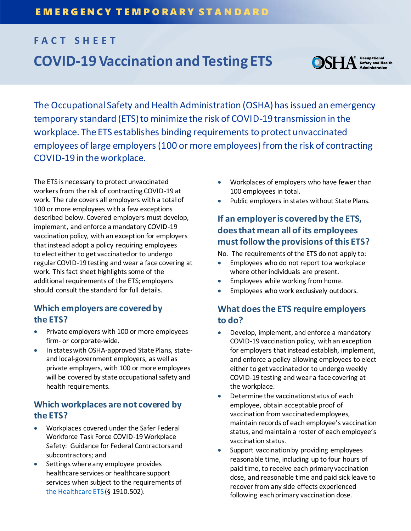# **FACT SHEET COVID-19 Vaccination and Testing ETS**



The Occupational Safety and Health Administration (OSHA) has issued an emergency temporary standard (ETS) to minimize the risk of COVID-19 transmission in the workplace. The ETS establishes binding requirements to protect unvaccinated employees of large employers (100 or more employees) from the risk of contracting COVID-19 in the workplace.

The ETS is necessary to protect unvaccinated workers from the risk of contracting COVID-19 at work. The rule covers all employers with a total of 100 or more employees with a few exceptions described below. Covered employers must develop, implement, and enforce a mandatory COVID-19 vaccination policy, with an exception for employers that instead adopt a policy requiring employees to elect either to get vaccinated or to undergo regular COVID-19 testing and wear a face covering at work. This fact sheet highlights some of the additional requirements of the ETS; employers should consult the standard for full details.

## **Which employers are covered by the ETS?**

- Private employers with 100 or more employees firm- or corporate-wide.
- In states with OSHA-approved State Plans, stateand local-government employers, as well as private employers, with 100 or more employees will be covered by state occupational safety and health requirements.

# **Which workplaces are not covered by the ETS?**

- Workplaces covered under the Safer Federal Workforce Task Force COVID-19 Workplace Safety: Guidance for Federal Contractors and subcontractors; and
- Settings where any employee provides healthcare services or healthcare support services when subject to the requirements of the Healthcare ETS (§ 1910.502).
- Workplaces of employers who have fewer than 100 employees in total.
- Public employers in states without State Plans.

# **If an employer is covered by the ETS, does that mean all of its employees must follow the provisions of this ETS?**

No. The requirements of the ETS do not apply to:

- **Employees who do not report to a workplace** where other individuals are present.
- Employees while working from home.
- Employees who work exclusively outdoors.

# **What does the ETS require employers to do?**

- Develop, implement, and enforce a mandatory COVID-19 vaccination policy, with an exception for employers that instead establish, implement, and enforce a policy allowing employees to elect either to get vaccinated or to undergo weekly COVID-19 testing and wear a face covering at the workplace.
- Determine the vaccination status of each employee, obtain acceptable proof of vaccination from vaccinated employees, maintain records of each employee's vaccination status, and maintain a roster of each employee's vaccination status.
- Support vaccination by providing employees reasonable time, including up to four hours of paid time, to receive each primary vaccination dose, and reasonable time and paid sick leave to recover from any side effects experienced following each primary vaccination dose.